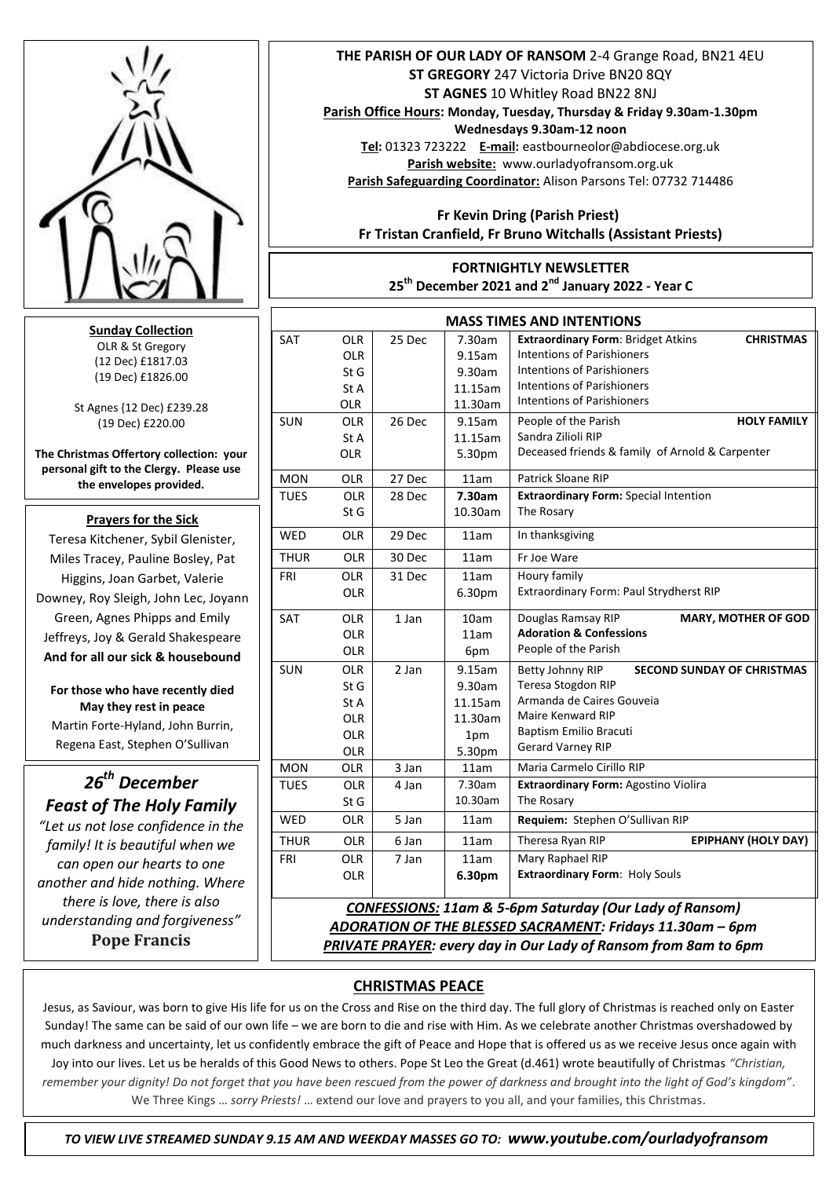

**Sunday Collection** OLR & St Gregory (12 Dec) £1817.03 (19 Dec) £1826.00

St Agnes {12 Dec) £239.28 (19 Dec) £220.00

**The Christmas Offertory collection: your personal gift to the Clergy. Please use the envelopes provided.**

#### **Prayers for the Sick**

 Downey, Roy Sleigh, John Lec, Joyann Teresa Kitchener, Sybil Glenister, Miles Tracey, Pauline Bosley, Pat Higgins, Joan Garbet, Valerie Green, Agnes Phipps and Emily Jeffreys, Joy & Gerald Shakespeare **And for all our sick & housebound**

**For those who have recently died May they rest in peace**  Martin Forte-Hyland, John Burrin, Regena East, Stephen O'Sullivan

# *26th December Feast of The Holy Family*

*"Let us not lose confidence in the family! It is beautiful when we can open our hearts to one another and hide nothing. Where there is love, there is also understanding and forgiveness"* **Pope Francis**

### **THE PARISH OF OUR LADY OF RANSOM** 2-4 Grange Road, BN21 4EU **ST GREGORY** 247 Victoria Drive BN20 8QY **ST AGNES** 10 Whitley Road BN22 8NJ

**Parish Office Hours: Monday, Tuesday, Thursday & Friday 9.30am-1.30pm** 

**Wednesdays 9.30am-12 noon Tel:** 01323 723222 **E-mail:** eastbourneolor@abdiocese.org.uk **Parish website:** [www.ourladyofransom.org.uk](http://www.ourladyofransom.org.uk/) **Parish Safeguarding Coordinator:** Alison Parsons Tel: 07732 714486

 **Fr Kevin Dring (Parish Priest) Fr Tristan Cranfield, Fr Bruno Witchalls (Assistant Priests)**

# **FORTNIGHTLY NEWSLETTER 25th December 2021 and 2nd January 2022 - Year C**

| <b>MASS TIMES AND INTENTIONS</b>                                   |            |        |         |                                                               |
|--------------------------------------------------------------------|------------|--------|---------|---------------------------------------------------------------|
| SAT                                                                | <b>OLR</b> | 25 Dec | 7.30am  | <b>Extraordinary Form: Bridget Atkins</b><br><b>CHRISTMAS</b> |
|                                                                    | <b>OLR</b> |        | 9.15am  | <b>Intentions of Parishioners</b>                             |
|                                                                    | StG        |        | 9.30am  | <b>Intentions of Parishioners</b>                             |
|                                                                    | St A       |        | 11.15am | <b>Intentions of Parishioners</b>                             |
|                                                                    | <b>OLR</b> |        | 11.30am | <b>Intentions of Parishioners</b>                             |
| <b>SUN</b>                                                         | <b>OLR</b> | 26 Dec | 9.15am  | People of the Parish<br><b>HOLY FAMILY</b>                    |
|                                                                    | St A       |        | 11.15am | Sandra Zilioli RIP                                            |
|                                                                    | <b>OLR</b> |        | 5.30pm  | Deceased friends & family of Arnold & Carpenter               |
| <b>MON</b>                                                         | <b>OLR</b> | 27 Dec | 11am    | Patrick Sloane RIP                                            |
| <b>TUES</b>                                                        | <b>OLR</b> | 28 Dec | 7.30am  | <b>Extraordinary Form: Special Intention</b>                  |
|                                                                    | St G       |        | 10.30am | The Rosary                                                    |
| <b>WED</b>                                                         | <b>OLR</b> | 29 Dec | 11am    | In thanksgiving                                               |
| <b>THUR</b>                                                        | <b>OLR</b> | 30 Dec | 11am    | Fr Joe Ware                                                   |
| FRI                                                                | <b>OLR</b> | 31 Dec | 11am    | Houry family                                                  |
|                                                                    | <b>OLR</b> |        | 6.30pm  | Extraordinary Form: Paul Strydherst RIP                       |
| SAT                                                                | <b>OLR</b> | 1 Jan  | 10am    | Douglas Ramsay RIP<br><b>MARY, MOTHER OF GOD</b>              |
|                                                                    | <b>OLR</b> |        | 11am    | <b>Adoration &amp; Confessions</b>                            |
|                                                                    | <b>OLR</b> |        | 6pm     | People of the Parish                                          |
| <b>SUN</b>                                                         | <b>OLR</b> | 2 Jan  | 9.15am  | <b>SECOND SUNDAY OF CHRISTMAS</b><br>Betty Johnny RIP         |
|                                                                    | St G       |        | 9.30am  | Teresa Stogdon RIP                                            |
|                                                                    | St A       |        | 11.15am | Armanda de Caires Gouveia                                     |
|                                                                    | <b>OLR</b> |        | 11.30am | Maire Kenward RIP                                             |
|                                                                    | <b>OLR</b> |        | 1pm     | Baptism Emilio Bracuti                                        |
|                                                                    | OLR        |        | 5.30pm  | <b>Gerard Varney RIP</b>                                      |
| <b>MON</b>                                                         | <b>OLR</b> | 3 Jan  | 11am    | Maria Carmelo Cirillo RIP                                     |
| TUES                                                               | <b>OLR</b> | 4 Jan  | 7.30am  | <b>Extraordinary Form: Agostino Violira</b>                   |
|                                                                    | St G       |        | 10.30am | The Rosary                                                    |
| <b>WED</b>                                                         | <b>OLR</b> | 5 Jan  | 11am    | Requiem: Stephen O'Sullivan RIP                               |
| <b>THUR</b>                                                        | <b>OLR</b> | 6 Jan  | 11am    | <b>EPIPHANY (HOLY DAY)</b><br>Theresa Ryan RIP                |
| FRI                                                                | <b>OLR</b> | 7 Jan  | 11am    | Mary Raphael RIP                                              |
|                                                                    | <b>OLR</b> |        | 6.30pm  | Extraordinary Form: Holy Souls                                |
| <b>CONFESSIONS: 11am &amp; 5-6pm Saturday (Our Lady of Ransom)</b> |            |        |         |                                                               |

*ADORATION OF THE BLESSED SACRAMENT: Fridays 11.30am – 6pm PRIVATE PRAYER: every day in Our Lady of Ransom from 8am to 6pm* 

# **CHRISTMAS PEACE**

 Jesus, as Saviour, was born to give His life for us on the Cross and Rise on the third day. The full glory of Christmas is reached only on Easter Sunday! The same can be said of our own life – we are born to die and rise with Him. As we celebrate another Christmas overshadowed by much darkness and uncertainty, let us confidently embrace the gift of Peace and Hope that is offered us as we receive Jesus once again with Joy into our lives. Let us be heralds of this Good News to others. Pope St Leo the Great (d.461) wrote beautifully of Christmas *"Christian, remember your dignity! Do not forget that you have been rescued from the power of darkness and brought into the light of God's kingdom"*. We Three Kings … *sorry Priests!* … extend our love and prayers to you all, and your families, this Christmas.

 *TO VIEW LIVE STREAMED SUNDAY 9.15 AM AND WEEKDAY MASSES GO TO: www.youtube.com/ourladyofransom*